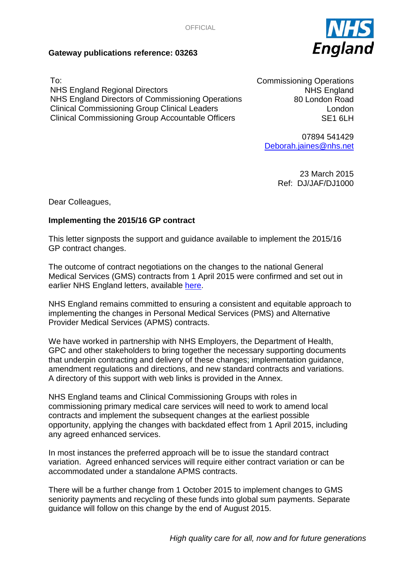

## **Gateway publications reference: 03263**

To: NHS England Regional Directors NHS England Directors of Commissioning Operations Clinical Commissioning Group Clinical Leaders Clinical Commissioning Group Accountable Officers

Commissioning Operations NHS England 80 London Road London SE1 6LH

07894 541429 [Deborah.jaines@nhs.net](mailto:Deborah.jaines@nhs.net)

> 23 March 2015 Ref: DJ/JAF/DJ1000

Dear Colleagues,

## **Implementing the 2015/16 GP contract**

This letter signposts the support and guidance available to implement the 2015/16 GP contract changes.

The outcome of contract negotiations on the changes to the national General Medical Services (GMS) contracts from 1 April 2015 were confirmed and set out in earlier NHS England letters, available [here.](https://www.england.nhs.uk/commissioning/gp-contract/)

NHS England remains committed to ensuring a consistent and equitable approach to implementing the changes in Personal Medical Services (PMS) and Alternative Provider Medical Services (APMS) contracts.

We have worked in partnership with NHS Employers, the Department of Health, GPC and other stakeholders to bring together the necessary supporting documents that underpin contracting and delivery of these changes; implementation guidance, amendment regulations and directions, and new standard contracts and variations. A directory of this support with web links is provided in the Annex.

NHS England teams and Clinical Commissioning Groups with roles in commissioning primary medical care services will need to work to amend local contracts and implement the subsequent changes at the earliest possible opportunity, applying the changes with backdated effect from 1 April 2015, including any agreed enhanced services.

In most instances the preferred approach will be to issue the standard contract variation. Agreed enhanced services will require either contract variation or can be accommodated under a standalone APMS contracts.

There will be a further change from 1 October 2015 to implement changes to GMS seniority payments and recycling of these funds into global sum payments. Separate guidance will follow on this change by the end of August 2015.